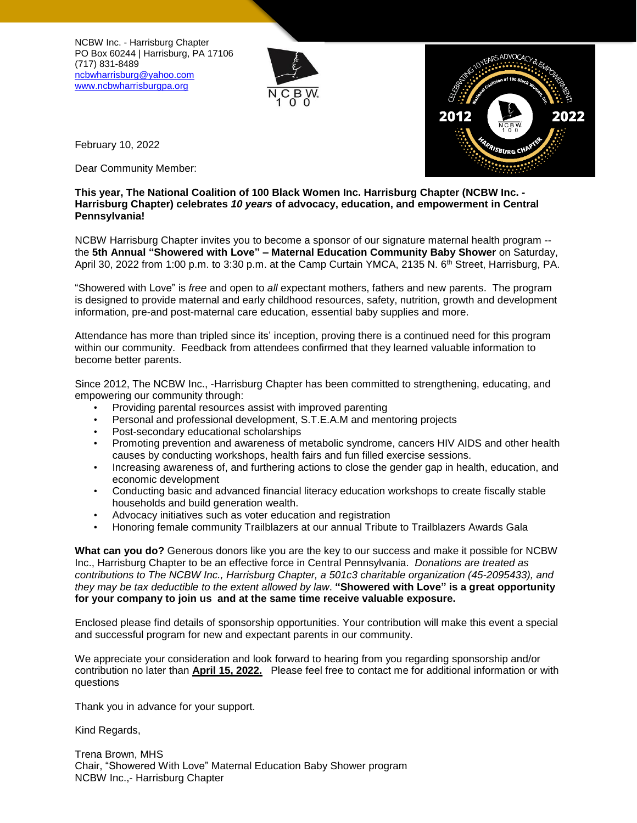NCBW Inc. - Harrisburg Chapter PO Box 60244 | Harrisburg, PA 17106 (717) 831-8489 [ncbwharrisburg@yahoo.com](mailto:ncbwharrisburg@yahoo.com) [www.ncbwharrisburgpa.org](file:///D:/NCBW/Showerd%20with%20Love%20Maternal%20Community%20Shower/2022%20SWL/www.ncbwharrisburgpa.org)





February 10, 2022

Dear Community Member:

## **This year, The National Coalition of 100 Black Women Inc. Harrisburg Chapter (NCBW Inc. - Harrisburg Chapter) celebrates** *10 years* **of advocacy, education, and empowerment in Central Pennsylvania!**

NCBW Harrisburg Chapter invites you to become a sponsor of our signature maternal health program - the **5th Annual "Showered with Love" – Maternal Education Community Baby Shower** on Saturday, April 30, 2022 from 1:00 p.m. to 3:30 p.m. at the Camp Curtain YMCA, 2135 N. 6<sup>th</sup> Street, Harrisburg, PA.

"Showered with Love" is *free* and open to *all* expectant mothers, fathers and new parents. The program is designed to provide maternal and early childhood resources, safety, nutrition, growth and development information, pre-and post-maternal care education, essential baby supplies and more.

Attendance has more than tripled since its' inception, proving there is a continued need for this program within our community. Feedback from attendees confirmed that they learned valuable information to become better parents.

Since 2012, The NCBW Inc., -Harrisburg Chapter has been committed to strengthening, educating, and empowering our community through:

- Providing parental resources assist with improved parenting
- Personal and professional development, S.T.E.A.M and mentoring projects
- Post-secondary educational scholarships
- Promoting prevention and awareness of metabolic syndrome, cancers HIV AIDS and other health causes by conducting workshops, health fairs and fun filled exercise sessions.
- Increasing awareness of, and furthering actions to close the gender gap in health, education, and economic development
- Conducting basic and advanced financial literacy education workshops to create fiscally stable households and build generation wealth.
- Advocacy initiatives such as voter education and registration
- Honoring female community Trailblazers at our annual Tribute to Trailblazers Awards Gala

**What can you do?** Generous donors like you are the key to our success and make it possible for NCBW Inc., Harrisburg Chapter to be an effective force in Central Pennsylvania. *Donations are treated as contributions to The NCBW Inc., Harrisburg Chapter, a 501c3 charitable organization (45-2095433), and* they may be tax deductible to the extent allowed by law. "Showered with Love" is a great opportunity **for your company to join us and at the same time receive valuable exposure.** 

Enclosed please find details of sponsorship opportunities. Your contribution will make this event a special and successful program for new and expectant parents in our community.

We appreciate your consideration and look forward to hearing from you regarding sponsorship and/or contribution no later than **April 15, 2022.** Please feel free to contact me for additional information or with questions

Thank you in advance for your support.

Kind Regards,

Trena Brown, MHS Chair, "Showered With Love" Maternal Education Baby Shower program NCBW Inc.,- Harrisburg Chapter